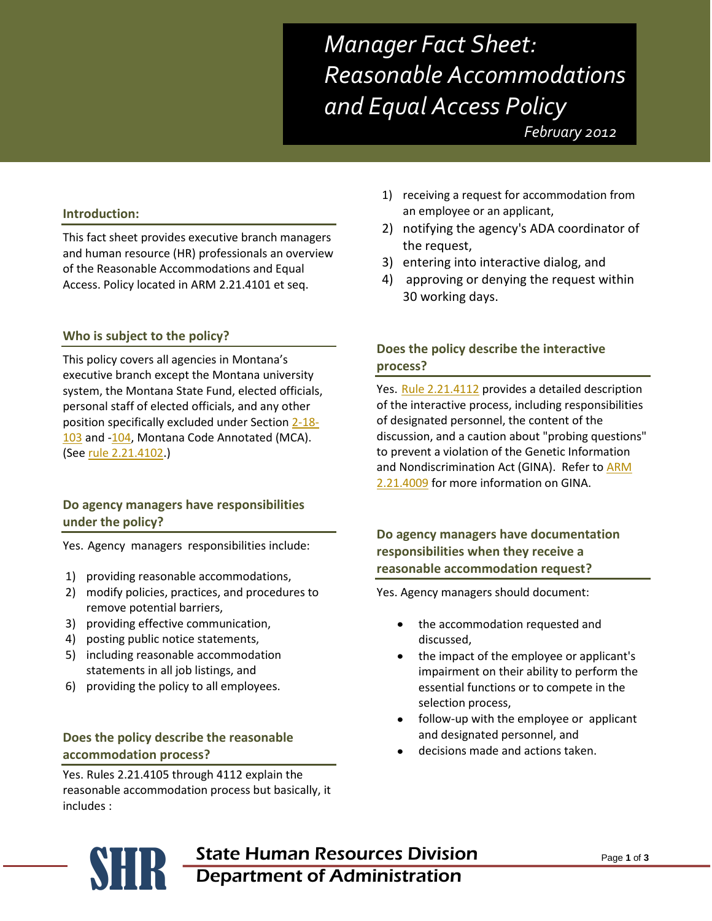*Manager Fact Sheet: Reasonable Accommodations and Equal Access Policy*

 *February 2012*

#### **Introduction:**

This fact sheet provides executive branch managers and human resource (HR) professionals an overview of the Reasonable Accommodations and Equal Access. Policy located in ARM 2.21.4101 et seq.

#### **Who is subject to the policy?**

This policy covers all agencies in Montana's executive branch except the Montana university system, the Montana State Fund, elected officials, personal staff of elected officials, and any other position specifically excluded under Section [2-18-](http://data.opi.mt.gov/bills/mca/2/18/2-18-103.htm) [103](http://data.opi.mt.gov/bills/mca/2/18/2-18-103.htm) and [-104,](http://data.opi.mt.gov/bills/mca/2/18/2-18-104.htm) Montana Code Annotated (MCA). (See [rule 2.21.4102.](http://www.mtrules.org/gateway/RuleNo.asp?RN=2%2E21%2E4102))

#### **Do agency managers have responsibilities under the policy?**

Yes. Agency managers responsibilities include:

- 1) providing reasonable accommodations,
- 2) modify policies, practices, and procedures to remove potential barriers,
- 3) providing effective communication,
- 4) posting public notice statements,
- 5) including reasonable accommodation statements in all job listings, and
- 6) providing the policy to all employees.

#### **Does the policy describe the reasonable accommodation process?**

Yes. Rules 2.21.4105 through 4112 explain the reasonable accommodation process but basically, it includes :

- 1) receiving a request for accommodation from an employee or an applicant,
- 2) notifying the agency's ADA coordinator of the request,
- 3) entering into interactive dialog, and
- 4) approving or denying the request within 30 working days.

# **Does the policy describe the interactive process?**

Yes. [Rule 2.21.4112](http://www.mtrules.org/gateway/RuleNo.asp?RN=2%2E21%2E4112) provides a detailed description of the interactive process, including responsibilities of designated personnel, the content of the discussion, and a caution about "probing questions" to prevent a violation of the Genetic Information and Nondiscrimination Act (GINA). Refer t[o ARM](http://www.mtrules.org/gateway/RuleNo.asp?RN=2%2E21%2E4009)  [2.21.4009](http://www.mtrules.org/gateway/RuleNo.asp?RN=2%2E21%2E4009) for more information on GINA.

## **Do agency managers have documentation responsibilities when they receive a reasonable accommodation request?**

Yes. Agency managers should document:

- the accommodation requested and  $\bullet$ discussed,
- the impact of the employee or applicant's impairment on their ability to perform the essential functions or to compete in the selection process,
- follow-up with the employee or applicant and designated personnel, and
- decisions made and actions taken.

# **SER State Human Resources Division**<br>Department of Administration Department of Administration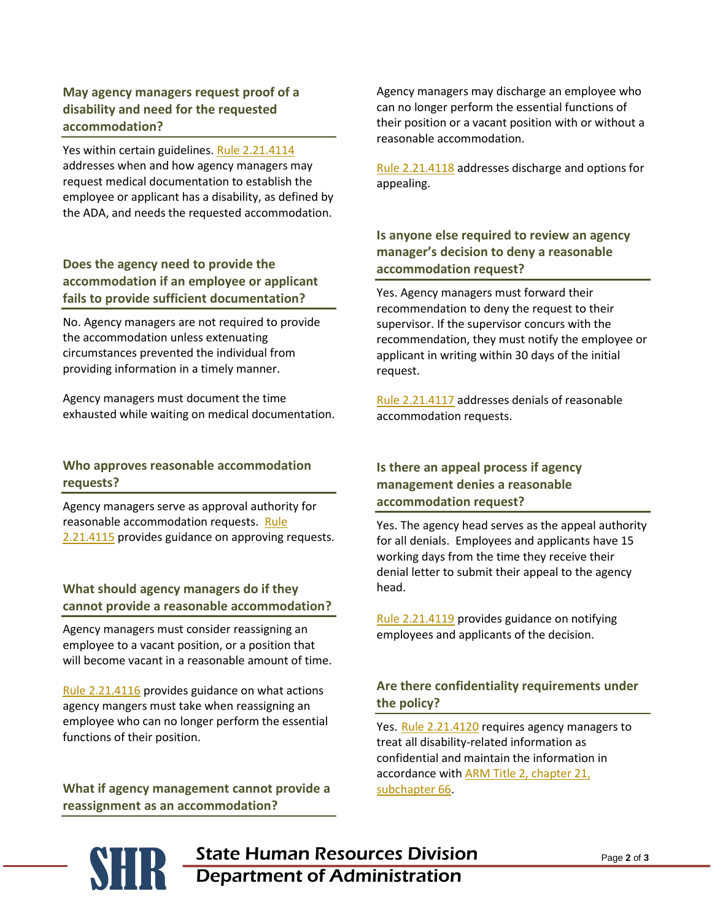# **May agency managers request proof of a disability and need for the requested accommodation?**

Yes within certain guidelines[. Rule 2.21.4114](http://www.mtrules.org/gateway/RuleNo.asp?RN=2%2E21%2E4114) addresses when and how agency managers may request medical documentation to establish the employee or applicant has a disability, as defined by the ADA, and needs the requested accommodation.

# **Does the agency need to provide the accommodation if an employee or applicant fails to provide sufficient documentation?**

No. Agency managers are not required to provide the accommodation unless extenuating circumstances prevented the individual from providing information in a timely manner.

Agency managers must document the time exhausted while waiting on medical documentation.

## **Who approves reasonable accommodation requests?**

Agency managers serve as approval authority for reasonable accommodation requests. [Rule](http://www.mtrules.org/gateway/RuleNo.asp?RN=2%2E21%2E4115)  [2.21.4115](http://www.mtrules.org/gateway/RuleNo.asp?RN=2%2E21%2E4115) provides guidance on approving requests.

# **What should agency managers do if they cannot provide a reasonable accommodation?**

Agency managers must consider reassigning an employee to a vacant position, or a position that will become vacant in a reasonable amount of time.

[Rule 2.21.4116](http://www.mtrules.org/gateway/RuleNo.asp?RN=2%2E21%2E4116) provides guidance on what actions agency mangers must take when reassigning an employee who can no longer perform the essential functions of their position.

**What if agency management cannot provide a reassignment as an accommodation?**

Agency managers may discharge an employee who can no longer perform the essential functions of their position or a vacant position with or without a reasonable accommodation.

[Rule 2.21.4118](http://www.mtrules.org/gateway/RuleNo.asp?RN=2%2E21%2E4118) addresses discharge and options for appealing.

# **Is anyone else required to review an agency manager's decision to deny a reasonable accommodation request?**

Yes. Agency managers must forward their recommendation to deny the request to their supervisor. If the supervisor concurs with the recommendation, they must notify the employee or applicant in writing within 30 days of the initial request.

[Rule 2.21.4117](http://www.mtrules.org/gateway/RuleNo.asp?RN=2%2E21%2E4117) addresses denials of reasonable accommodation requests.

# **Is there an appeal process if agency management denies a reasonable accommodation request?**

Yes. The agency head serves as the appeal authority for all denials. Employees and applicants have 15 working days from the time they receive their denial letter to submit their appeal to the agency head.

[Rule 2.21.4119](http://www.mtrules.org/gateway/RuleNo.asp?RN=2%2E21%2E4119) provides guidance on notifying employees and applicants of the decision.

# **Are there confidentiality requirements under the policy?**

Yes. [Rule 2.21.4120](http://www.mtrules.org/gateway/RuleNo.asp?RN=2%2E21%2E4120) requires agency managers to treat all disability-related information as confidential and maintain the information in accordance with [ARM Title 2, chapter 21,](http://www.mtrules.org/gateway/Subchapterhome.asp?scn=2%2E21.66)  [subchapter 66.](http://www.mtrules.org/gateway/Subchapterhome.asp?scn=2%2E21.66)

**SER State Human Resources Division**<br>Department of Administration Department of Administration